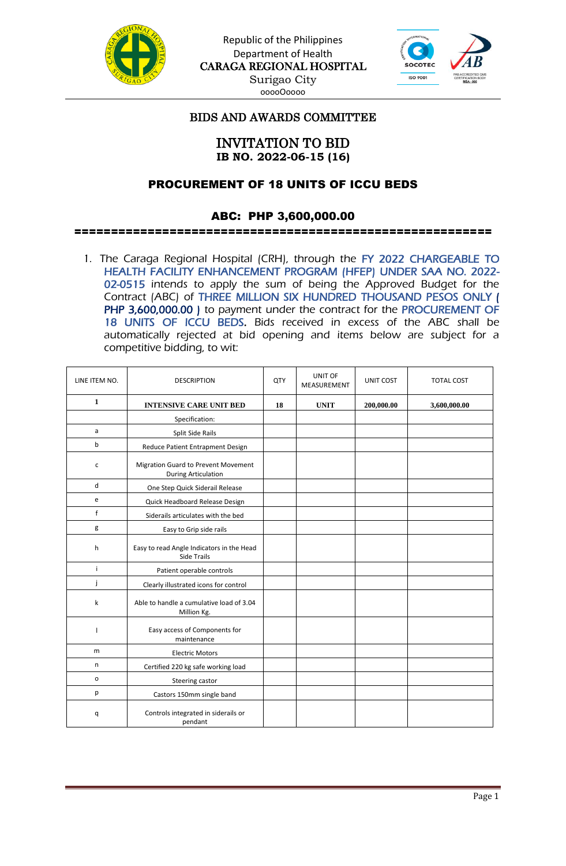

Republic of the Philippines Department of Health CARAGA REGIONAL HOSPITAL Surigao City ooooOoooo



# BIDS AND AWARDS COMMITTEE

## INVITATION TO BID **IB NO. 2022-06-15 (16)**

## PROCUREMENT OF 18 UNITS OF ICCU BEDS

## ABC: PHP 3,600,000.00

#### =========================================================

1. The Caraga Regional Hospital (CRH), through the FY 2022 CHARGEABLE TO HEALTH FACILITY ENHANCEMENT PROGRAM (HFEP) UNDER SAA NO. 2022- 02-0515 intends to apply the sum of being the Approved Budget for the Contract (ABC) of THREE MILLION SIX HUNDRED THOUSAND PESOS ONLY ( PHP 3,600,000.00 ) to payment under the contract for the PROCUREMENT OF 18 UNITS OF ICCU BEDS. Bids received in excess of the ABC shall be automatically rejected at bid opening and items below are subject for a competitive bidding, to wit:

| LINE ITEM NO. | <b>DESCRIPTION</b>                                                | QTY | UNIT OF<br>MEASUREMENT | <b>UNIT COST</b> | <b>TOTAL COST</b> |  |
|---------------|-------------------------------------------------------------------|-----|------------------------|------------------|-------------------|--|
| $\mathbf{1}$  | <b>INTENSIVE CARE UNIT BED</b>                                    | 18  | <b>UNIT</b>            | 200,000.00       | 3,600,000.00      |  |
|               | Specification:                                                    |     |                        |                  |                   |  |
| a             | Split Side Rails                                                  |     |                        |                  |                   |  |
| b             | Reduce Patient Entrapment Design                                  |     |                        |                  |                   |  |
| $\mathsf{C}$  | Migration Guard to Prevent Movement<br><b>During Articulation</b> |     |                        |                  |                   |  |
| d             | One Step Quick Siderail Release                                   |     |                        |                  |                   |  |
| e             | Quick Headboard Release Design                                    |     |                        |                  |                   |  |
| $\mathsf f$   | Siderails articulates with the bed                                |     |                        |                  |                   |  |
| g             | Easy to Grip side rails                                           |     |                        |                  |                   |  |
| h             | Easy to read Angle Indicators in the Head<br>Side Trails          |     |                        |                  |                   |  |
| j.            | Patient operable controls                                         |     |                        |                  |                   |  |
| j             | Clearly illustrated icons for control                             |     |                        |                  |                   |  |
| k             | Able to handle a cumulative load of 3.04<br>Million Kg.           |     |                        |                  |                   |  |
|               | Easy access of Components for<br>maintenance                      |     |                        |                  |                   |  |
| m             | <b>Electric Motors</b>                                            |     |                        |                  |                   |  |
| n             | Certified 220 kg safe working load                                |     |                        |                  |                   |  |
| $\mathsf{o}$  | Steering castor                                                   |     |                        |                  |                   |  |
| р             | Castors 150mm single band                                         |     |                        |                  |                   |  |
| q             | Controls integrated in siderails or<br>pendant                    |     |                        |                  |                   |  |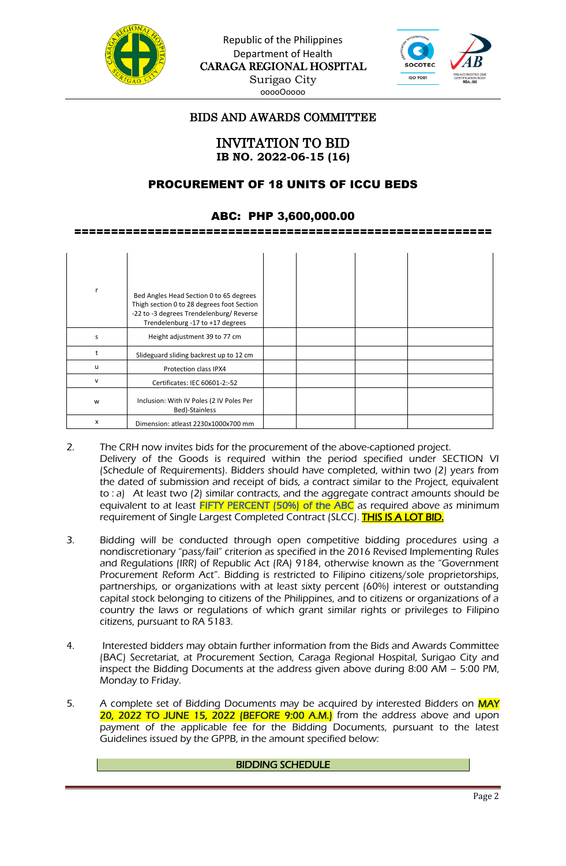



## BIDS AND AWARDS COMMITTEE

INVITATION TO BID **IB NO. 2022-06-15 (16)**

#### PROCUREMENT OF 18 UNITS OF ICCU BEDS

#### ABC: PHP 3,600,000.00

=========================================================

|   | Bed Angles Head Section 0 to 65 degrees<br>Thigh section 0 to 28 degrees foot Section<br>-22 to -3 degrees Trendelenburg/Reverse<br>Trendelenburg -17 to +17 degrees |  |  |
|---|----------------------------------------------------------------------------------------------------------------------------------------------------------------------|--|--|
| S | Height adjustment 39 to 77 cm                                                                                                                                        |  |  |
|   | Slideguard sliding backrest up to 12 cm                                                                                                                              |  |  |
| u | Protection class IPX4                                                                                                                                                |  |  |
| v | Certificates: IEC 60601-2:-52                                                                                                                                        |  |  |
| w | Inclusion: With IV Poles (2 IV Poles Per<br>Bed)-Stainless                                                                                                           |  |  |
| x | Dimension: atleast 2230x1000x700 mm                                                                                                                                  |  |  |

- 2. The CRH now invites bids for the procurement of the above-captioned project. Delivery of the Goods is required within the period specified under SECTION VI (Schedule of Requirements). Bidders should have completed, within two (2) years from the dated of submission and receipt of bids, a contract similar to the Project, equivalent to : a) At least two (2) similar contracts, and the aggregate contract amounts should be equivalent to at least FIFTY PERCENT (50%) of the ABC as required above as minimum requirement of Single Largest Completed Contract (SLCC). THIS IS A LOT BID.
- 3. Bidding will be conducted through open competitive bidding procedures using a nondiscretionary "pass/fail" criterion as specified in the 2016 Revised Implementing Rules and Regulations (IRR) of Republic Act (RA) 9184, otherwise known as the "Government Procurement Reform Act". Bidding is restricted to Filipino citizens/sole proprietorships, partnerships, or organizations with at least sixty percent (60%) interest or outstanding capital stock belonging to citizens of the Philippines, and to citizens or organizations of a country the laws or regulations of which grant similar rights or privileges to Filipino citizens, pursuant to RA 5183.
- 4. Interested bidders may obtain further information from the Bids and Awards Committee (BAC) Secretariat, at Procurement Section, Caraga Regional Hospital, Surigao City and inspect the Bidding Documents at the address given above during 8:00 AM – 5:00 PM, Monday to Friday.
- 5. A complete set of Bidding Documents may be acquired by interested Bidders on MAY 20, 2022 TO JUNE 15, 2022 (BEFORE 9:00 A.M.) from the address above and upon payment of the applicable fee for the Bidding Documents, pursuant to the latest Guidelines issued by the GPPB, in the amount specified below:

#### BIDDING SCHEDULE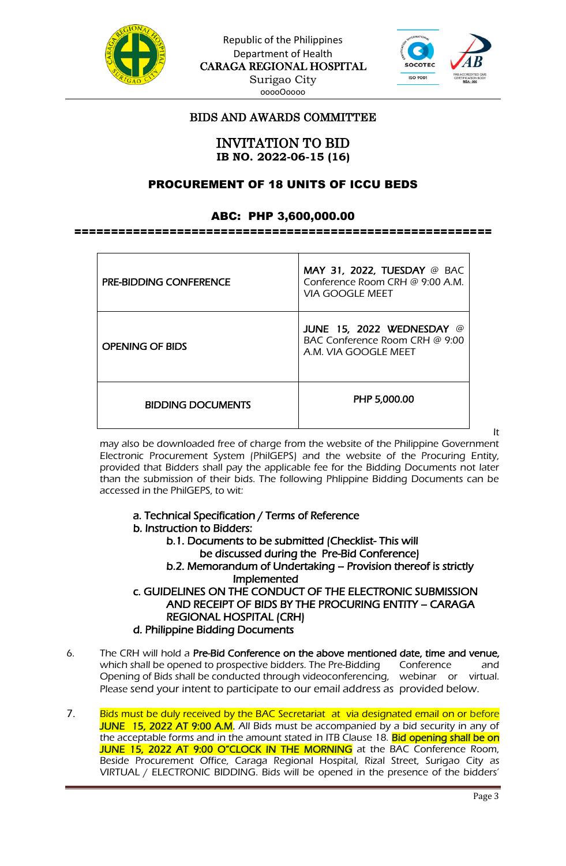



# BIDS AND AWARDS COMMITTEE

INVITATION TO BID **IB NO. 2022-06-15 (16)**

## PROCUREMENT OF 18 UNITS OF ICCU BEDS

#### ABC: PHP 3,600,000.00

=========================================================

| <b>PRE-BIDDING CONFERENCE</b> | <b>MAY 31, 2022, TUESDAY @ BAC</b><br>Conference Room CRH @ 9:00 A.M.<br>VIA GOOGI E MEET |  |  |
|-------------------------------|-------------------------------------------------------------------------------------------|--|--|
| <b>OPENING OF BIDS</b>        | JUNE 15, 2022 WEDNESDAY @<br>BAC Conference Room CRH @ 9:00<br>A.M. VIA GOOGLE MEET       |  |  |
| <b>BIDDING DOCUMENTS</b>      | PHP 5,000.00                                                                              |  |  |

It

may also be downloaded free of charge from the website of the Philippine Government Electronic Procurement System (PhilGEPS) and the website of the Procuring Entity, provided that Bidders shall pay the applicable fee for the Bidding Documents not later than the submission of their bids. The following Phlippine Bidding Documents can be accessed in the PhilGEPS, to wit:

- a. Technical Specification / Terms of Reference
- b. Instruction to Bidders:

b.1. Documents to be submitted (Checklist- This will be discussed during the Pre-Bid Conference) b.2. Memorandum of Undertaking – Provision thereof is strictly Implemented c. GUIDELINES ON THE CONDUCT OF THE ELECTRONIC SUBMISSION AND RECEIPT OF BIDS BY THE PROCURING ENTITY – CARAGA REGIONAL HOSPITAL (CRH)

- d. Philippine Bidding Documents
- 6. The CRH will hold a Pre-Bid Conference on the above mentioned date, time and venue, which shall be opened to prospective bidders. The Pre-Bidding Conference and Opening of Bids shall be conducted through videoconferencing, webinar or virtual. Please send your intent to participate to our email address as provided below.
- 7. Bids must be duly received by the BAC Secretariat at via designated email on or before JUNE 15, 2022 AT 9:00 A.M. All Bids must be accompanied by a bid security in any of the acceptable forms and in the amount stated in ITB Clause 18. Bid opening shall be on JUNE 15, 2022 AT 9:00 O"CLOCK IN THE MORNING at the BAC Conference Room, Beside Procurement Office, Caraga Regional Hospital, Rizal Street, Surigao City as VIRTUAL / ELECTRONIC BIDDING. Bids will be opened in the presence of the bidders'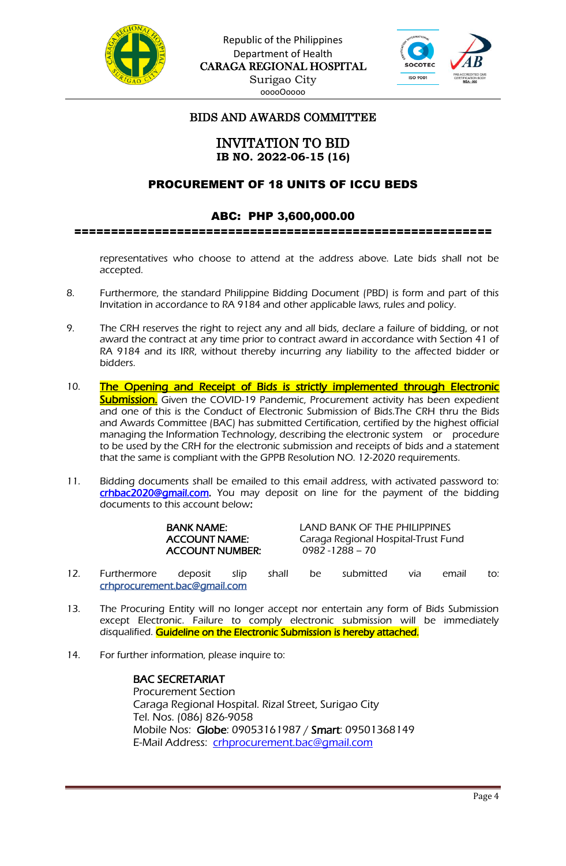



# BIDS AND AWARDS COMMITTEE

## INVITATION TO BID **IB NO. 2022-06-15 (16)**

## PROCUREMENT OF 18 UNITS OF ICCU BEDS

#### ABC: PHP 3,600,000.00

=========================================================

representatives who choose to attend at the address above. Late bids shall not be accepted.

- 8. Furthermore, the standard Philippine Bidding Document (PBD) is form and part of this Invitation in accordance to RA 9184 and other applicable laws, rules and policy.
- 9. The CRH reserves the right to reject any and all bids, declare a failure of bidding, or not award the contract at any time prior to contract award in accordance with Section 41 of RA 9184 and its IRR, without thereby incurring any liability to the affected bidder or bidders.
- 10. The Opening and Receipt of Bids is strictly implemented through Electronic Submission. Given the COVID-19 Pandemic, Procurement activity has been expedient and one of this is the Conduct of Electronic Submission of Bids.The CRH thru the Bids and Awards Committee (BAC) has submitted Certification, certified by the highest official managing the Information Technology, describing the electronic system or procedure to be used by the CRH for the electronic submission and receipts of bids and a statement that the same is compliant with the GPPB Resolution NO. 12-2020 requirements.
- 11. Bidding documents shall be emailed to this email address, with activated password to: [crhbac2020@gmail.com.](mailto:crhbac2020@gmail.com) You may deposit on line for the payment of the bidding documents to this account below:

|     |             | <b>BANK NAME:</b><br><b>ACCOUNT NAME:</b><br><b>ACCOUNT NUMBER:</b> |      |       | LAND BANK OF THE PHILIPPINES<br>Caraga Regional Hospital-Trust Fund<br>$0982 - 1288 - 70$ |           |     |       |     |  |
|-----|-------------|---------------------------------------------------------------------|------|-------|-------------------------------------------------------------------------------------------|-----------|-----|-------|-----|--|
| 12. | Furthermore | deposit                                                             | slip | shall | be                                                                                        | submitted | via | email | to: |  |

- crhprocurement.bac@gmail.com
- 13. The Procuring Entity will no longer accept nor entertain any form of Bids Submission except Electronic. Failure to comply electronic submission will be immediately disqualified. Guideline on the Electronic Submission is hereby attached.
- 14. For further information, please inquire to:

 BAC SECRETARIAT Procurement Section Caraga Regional Hospital. Rizal Street, Surigao City Tel. Nos. (086) 826-9058 Mobile Nos: Globe: 09053161987 / Smart: 09501368149 E-Mail Address: [crhprocurement.bac@gmail.com](mailto:crhprocurement.bac@gmail.com)